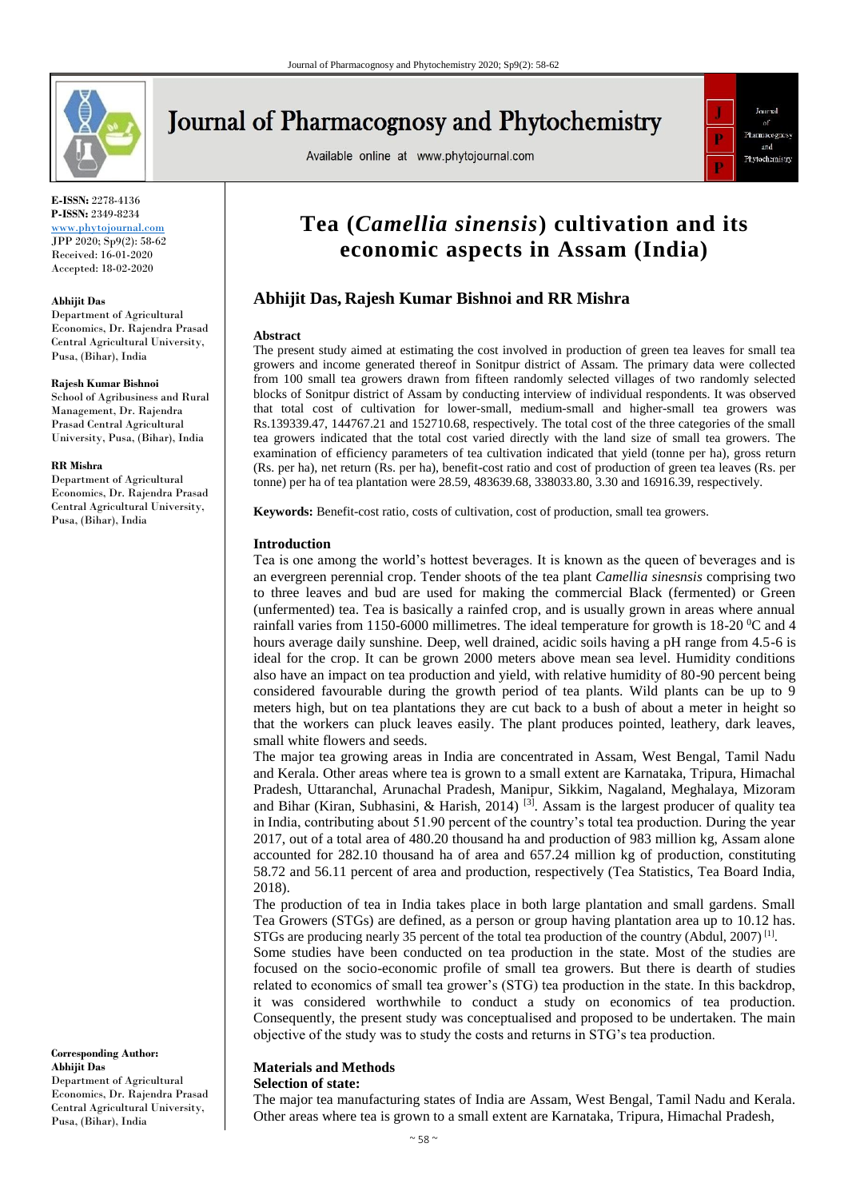

# **Journal of Pharmacognosy and Phytochemistry**

Available online at www.phytojournal.com



**E-ISSN:** 2278-4136 **P-ISSN:** 2349-8234

<www.phytojournal.com> JPP 2020; Sp9(2): 58-62 Received: 16-01-2020 Accepted: 18-02-2020

#### **Abhijit Das**

Department of Agricultural Economics, Dr. Rajendra Prasad Central Agricultural University, Pusa, (Bihar), India

#### **Rajesh Kumar Bishnoi**

School of Agribusiness and Rural Management, Dr. Rajendra Prasad Central Agricultural University, Pusa, (Bihar), India

#### **RR Mishra**

Department of Agricultural Economics, Dr. Rajendra Prasad Central Agricultural University, Pusa, (Bihar), India

**Corresponding Author: Abhijit Das** Department of Agricultural Economics, Dr. Rajendra Prasad Central Agricultural University, Pusa, (Bihar), India

# **Tea (***Camellia sinensis***) cultivation and its economic aspects in Assam (India)**

# **Abhijit Das, Rajesh Kumar Bishnoi and RR Mishra**

#### **Abstract**

The present study aimed at estimating the cost involved in production of green tea leaves for small tea growers and income generated thereof in Sonitpur district of Assam. The primary data were collected from 100 small tea growers drawn from fifteen randomly selected villages of two randomly selected blocks of Sonitpur district of Assam by conducting interview of individual respondents. It was observed that total cost of cultivation for lower-small, medium-small and higher-small tea growers was Rs.139339.47, 144767.21 and 152710.68, respectively. The total cost of the three categories of the small tea growers indicated that the total cost varied directly with the land size of small tea growers. The examination of efficiency parameters of tea cultivation indicated that yield (tonne per ha), gross return (Rs. per ha), net return (Rs. per ha), benefit-cost ratio and cost of production of green tea leaves (Rs. per tonne) per ha of tea plantation were 28.59, 483639.68, 338033.80, 3.30 and 16916.39, respectively.

**Keywords:** Benefit-cost ratio, costs of cultivation, cost of production, small tea growers.

#### **Introduction**

Tea is one among the world's hottest beverages. It is known as the queen of beverages and is an evergreen perennial crop. Tender shoots of the tea plant *Camellia sinesnsis* comprising two to three leaves and bud are used for making the commercial Black (fermented) or Green (unfermented) tea. Tea is basically a rainfed crop, and is usually grown in areas where annual rainfall varies from 1150-6000 millimetres. The ideal temperature for growth is  $18{\text -}20^{\degree}\text{C}$  and 4 hours average daily sunshine. Deep, well drained, acidic soils having a pH range from 4.5-6 is ideal for the crop. It can be grown 2000 meters above mean sea level. Humidity conditions also have an impact on tea production and yield, with relative humidity of 80-90 percent being considered favourable during the growth period of tea plants. Wild plants can be up to 9 meters high, but on tea plantations they are cut back to a bush of about a meter in height so that the workers can pluck leaves easily. The plant produces pointed, leathery, dark leaves, small white flowers and seeds.

The major tea growing areas in India are concentrated in Assam, West Bengal, Tamil Nadu and Kerala. Other areas where tea is grown to a small extent are Karnataka, Tripura, Himachal Pradesh, Uttaranchal, Arunachal Pradesh, Manipur, Sikkim, Nagaland, Meghalaya, Mizoram and Bihar (Kiran, Subhasini, & Harish, 2014)<sup>[3]</sup>. Assam is the largest producer of quality tea in India, contributing about 51.90 percent of the country's total tea production. During the year 2017, out of a total area of 480.20 thousand ha and production of 983 million kg, Assam alone accounted for 282.10 thousand ha of area and 657.24 million kg of production, constituting 58.72 and 56.11 percent of area and production, respectively (Tea Statistics, Tea Board India, 2018).

The production of tea in India takes place in both large plantation and small gardens. Small Tea Growers (STGs) are defined, as a person or group having plantation area up to 10.12 has. STGs are producing nearly 35 percent of the total tea production of the country (Abdul, 2007)<sup>[1]</sup>.

Some studies have been conducted on tea production in the state. Most of the studies are focused on the socio-economic profile of small tea growers. But there is dearth of studies related to economics of small tea grower's (STG) tea production in the state. In this backdrop, it was considered worthwhile to conduct a study on economics of tea production. Consequently, the present study was conceptualised and proposed to be undertaken. The main objective of the study was to study the costs and returns in STG's tea production.

# **Materials and Methods**

# **Selection of state:**

The major tea manufacturing states of India are Assam, West Bengal, Tamil Nadu and Kerala. Other areas where tea is grown to a small extent are Karnataka, Tripura, Himachal Pradesh,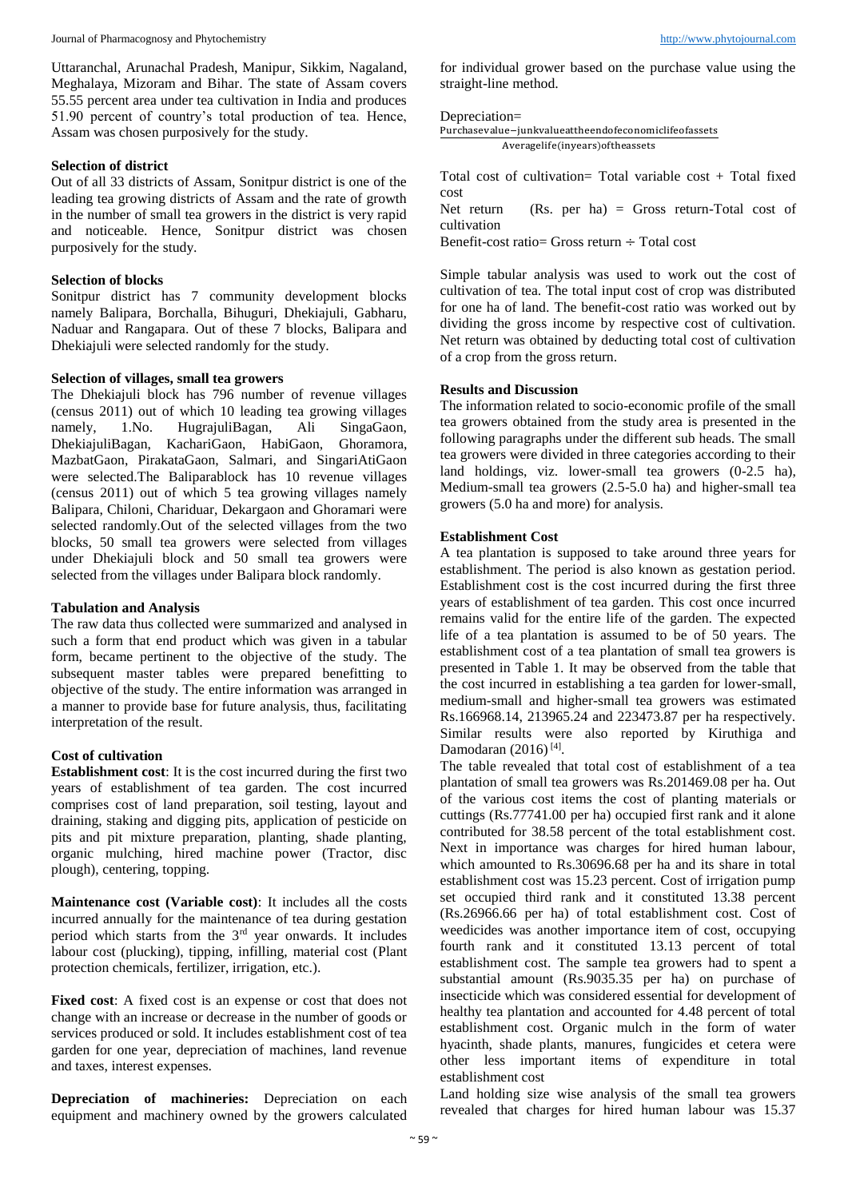Uttaranchal, Arunachal Pradesh, Manipur, Sikkim, Nagaland, Meghalaya, Mizoram and Bihar. The state of Assam covers 55.55 percent area under tea cultivation in India and produces 51.90 percent of country's total production of tea. Hence, Assam was chosen purposively for the study.

#### **Selection of district**

Out of all 33 districts of Assam, Sonitpur district is one of the leading tea growing districts of Assam and the rate of growth in the number of small tea growers in the district is very rapid and noticeable. Hence, Sonitpur district was chosen purposively for the study.

#### **Selection of blocks**

Sonitpur district has 7 community development blocks namely Balipara, Borchalla, Bihuguri, Dhekiajuli, Gabharu, Naduar and Rangapara. Out of these 7 blocks, Balipara and Dhekiajuli were selected randomly for the study.

#### **Selection of villages, small tea growers**

The Dhekiajuli block has 796 number of revenue villages (census 2011) out of which 10 leading tea growing villages namely, 1.No. HugrajuliBagan, Ali SingaGaon, DhekiajuliBagan, KachariGaon, HabiGaon, Ghoramora, MazbatGaon, PirakataGaon, Salmari, and SingariAtiGaon were selected.The Baliparablock has 10 revenue villages (census 2011) out of which 5 tea growing villages namely Balipara, Chiloni, Chariduar, Dekargaon and Ghoramari were selected randomly.Out of the selected villages from the two blocks, 50 small tea growers were selected from villages under Dhekiajuli block and 50 small tea growers were selected from the villages under Balipara block randomly.

#### **Tabulation and Analysis**

The raw data thus collected were summarized and analysed in such a form that end product which was given in a tabular form, became pertinent to the objective of the study. The subsequent master tables were prepared benefitting to objective of the study. The entire information was arranged in a manner to provide base for future analysis, thus, facilitating interpretation of the result.

#### **Cost of cultivation**

**Establishment cost**: It is the cost incurred during the first two years of establishment of tea garden. The cost incurred comprises cost of land preparation, soil testing, layout and draining, staking and digging pits, application of pesticide on pits and pit mixture preparation, planting, shade planting, organic mulching, hired machine power (Tractor, disc plough), centering, topping.

**Maintenance cost (Variable cost)**: It includes all the costs incurred annually for the maintenance of tea during gestation period which starts from the 3rd year onwards. It includes labour cost (plucking), tipping, infilling, material cost (Plant protection chemicals, fertilizer, irrigation, etc.).

**Fixed cost**: A fixed cost is an expense or cost that does not change with an increase or decrease in the number of goods or services produced or sold. It includes establishment cost of tea garden for one year, depreciation of machines, land revenue and taxes, interest expenses.

**Depreciation of machineries:** Depreciation on each equipment and machinery owned by the growers calculated for individual grower based on the purchase value using the straight-line method.

#### Depreciation=

```
Purchasevalue−junkvalueattheendofeconomiclifeofassets
Averagelife(inyears)oftheassets
```
Total cost of cultivation= Total variable cost  $+$  Total fixed cost

Net return  $(Rs.$  per ha) = Gross return-Total cost of cultivation

Benefit-cost ratio= Gross return ÷ Total cost

Simple tabular analysis was used to work out the cost of cultivation of tea. The total input cost of crop was distributed for one ha of land. The benefit-cost ratio was worked out by dividing the gross income by respective cost of cultivation. Net return was obtained by deducting total cost of cultivation of a crop from the gross return.

#### **Results and Discussion**

The information related to socio-economic profile of the small tea growers obtained from the study area is presented in the following paragraphs under the different sub heads. The small tea growers were divided in three categories according to their land holdings, viz. lower-small tea growers (0-2.5 ha), Medium-small tea growers (2.5-5.0 ha) and higher-small tea growers (5.0 ha and more) for analysis.

### **Establishment Cost**

A tea plantation is supposed to take around three years for establishment. The period is also known as gestation period. Establishment cost is the cost incurred during the first three years of establishment of tea garden. This cost once incurred remains valid for the entire life of the garden. The expected life of a tea plantation is assumed to be of 50 years. The establishment cost of a tea plantation of small tea growers is presented in Table 1. It may be observed from the table that the cost incurred in establishing a tea garden for lower-small, medium-small and higher-small tea growers was estimated Rs.166968.14, 213965.24 and 223473.87 per ha respectively. Similar results were also reported by Kiruthiga and Damodaran  $(2016)^{[4]}$ .

The table revealed that total cost of establishment of a tea plantation of small tea growers was Rs.201469.08 per ha. Out of the various cost items the cost of planting materials or cuttings (Rs.77741.00 per ha) occupied first rank and it alone contributed for 38.58 percent of the total establishment cost. Next in importance was charges for hired human labour, which amounted to Rs.30696.68 per ha and its share in total establishment cost was 15.23 percent. Cost of irrigation pump set occupied third rank and it constituted 13.38 percent (Rs.26966.66 per ha) of total establishment cost. Cost of weedicides was another importance item of cost, occupying fourth rank and it constituted 13.13 percent of total establishment cost. The sample tea growers had to spent a substantial amount (Rs.9035.35 per ha) on purchase of insecticide which was considered essential for development of healthy tea plantation and accounted for 4.48 percent of total establishment cost. Organic mulch in the form of water hyacinth, shade plants, manures, fungicides et cetera were other less important items of expenditure in total establishment cost

Land holding size wise analysis of the small tea growers revealed that charges for hired human labour was 15.37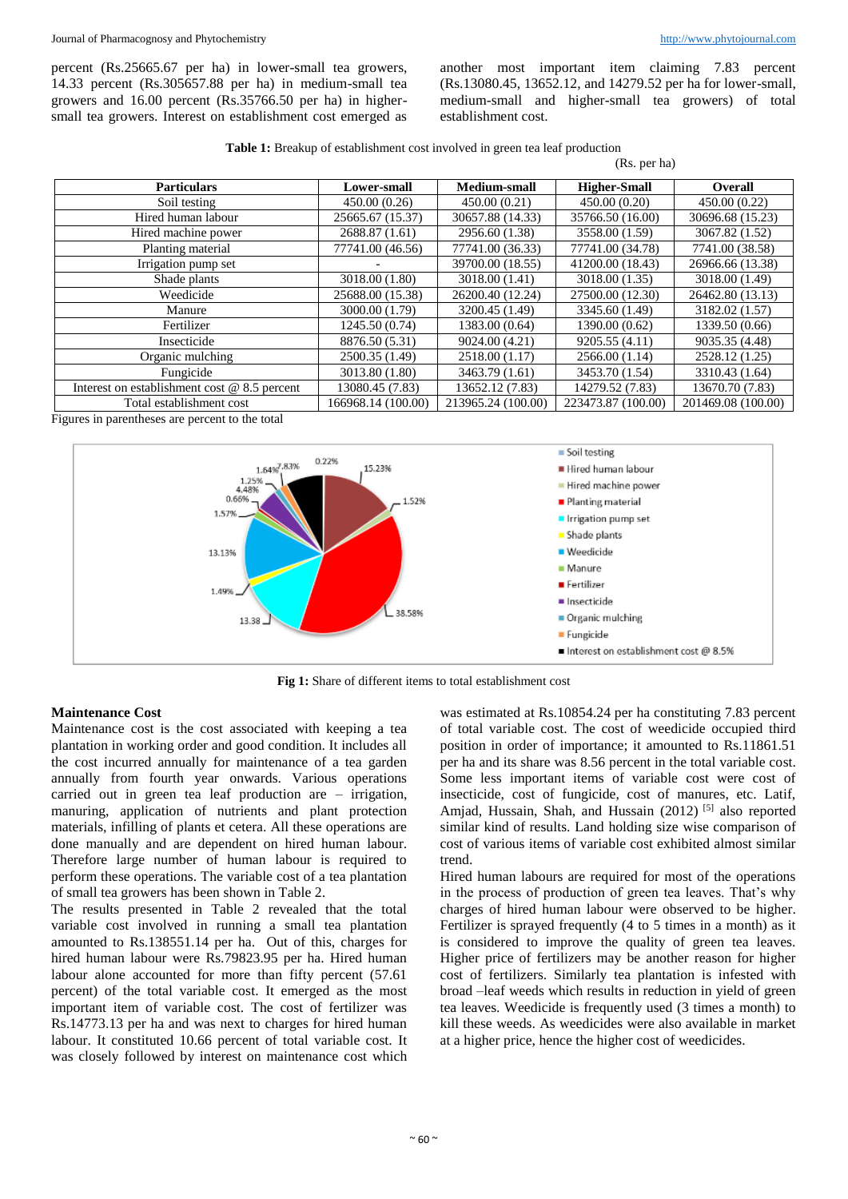percent (Rs.25665.67 per ha) in lower-small tea growers, 14.33 percent (Rs.305657.88 per ha) in medium-small tea growers and 16.00 percent (Rs.35766.50 per ha) in highersmall tea growers. Interest on establishment cost emerged as

another most important item claiming 7.83 percent (Rs.13080.45, 13652.12, and 14279.52 per ha for lower-small, medium-small and higher-small tea growers) of total establishment cost.

**Table 1:** Breakup of establishment cost involved in green tea leaf production (Rs. per ha)

| <b>Particulars</b>                             | Lower-small        | <b>Medium-small</b> | <b>Higher-Small</b> | <b>Overall</b>     |
|------------------------------------------------|--------------------|---------------------|---------------------|--------------------|
| Soil testing                                   | 450.00 (0.26)      | 450.00 (0.21)       | 450.00 (0.20)       | 450.00 (0.22)      |
| Hired human labour                             | 25665.67 (15.37)   | 30657.88 (14.33)    | 35766.50 (16.00)    | 30696.68 (15.23)   |
| Hired machine power                            | 2688.87 (1.61)     | 2956.60 (1.38)      | 3558.00 (1.59)      | 3067.82 (1.52)     |
| Planting material                              | 77741.00 (46.56)   | 77741.00 (36.33)    | 77741.00 (34.78)    | 7741.00 (38.58)    |
| Irrigation pump set                            |                    | 39700.00 (18.55)    | 41200.00 (18.43)    | 26966.66 (13.38)   |
| Shade plants                                   | 3018.00 (1.80)     | 3018.00 (1.41)      | 3018.00 (1.35)      | 3018.00 (1.49)     |
| Weedicide                                      | 25688.00 (15.38)   | 26200.40 (12.24)    | 27500.00 (12.30)    | 26462.80 (13.13)   |
| Manure                                         | 3000.00 (1.79)     | 3200.45 (1.49)      | 3345.60 (1.49)      | 3182.02 (1.57)     |
| Fertilizer                                     | 1245.50 (0.74)     | 1383.00 (0.64)      | 1390.00 (0.62)      | 1339.50 (0.66)     |
| Insecticide                                    | 8876.50 (5.31)     | 9024.00 (4.21)      | 9205.55 (4.11)      | 9035.35 (4.48)     |
| Organic mulching                               | 2500.35 (1.49)     | 2518.00 (1.17)      | 2566.00 (1.14)      | 2528.12 (1.25)     |
| Fungicide                                      | 3013.80 (1.80)     | 3463.79 (1.61)      | 3453.70 (1.54)      | 3310.43 (1.64)     |
| Interest on establishment cost $@$ 8.5 percent | 13080.45 (7.83)    | 13652.12 (7.83)     | 14279.52 (7.83)     | 13670.70 (7.83)    |
| Total establishment cost                       | 166968.14 (100.00) | 213965.24 (100.00)  | 223473.87 (100.00)  | 201469.08 (100.00) |

Figures in parentheses are percent to the total



**Fig 1:** Share of different items to total establishment cost

### **Maintenance Cost**

Maintenance cost is the cost associated with keeping a tea plantation in working order and good condition. It includes all the cost incurred annually for maintenance of a tea garden annually from fourth year onwards. Various operations carried out in green tea leaf production are – irrigation, manuring, application of nutrients and plant protection materials, infilling of plants et cetera. All these operations are done manually and are dependent on hired human labour. Therefore large number of human labour is required to perform these operations. The variable cost of a tea plantation of small tea growers has been shown in Table 2.

The results presented in Table 2 revealed that the total variable cost involved in running a small tea plantation amounted to Rs.138551.14 per ha. Out of this, charges for hired human labour were Rs.79823.95 per ha. Hired human labour alone accounted for more than fifty percent (57.61) percent) of the total variable cost. It emerged as the most important item of variable cost. The cost of fertilizer was Rs.14773.13 per ha and was next to charges for hired human labour. It constituted 10.66 percent of total variable cost. It was closely followed by interest on maintenance cost which

was estimated at Rs.10854.24 per ha constituting 7.83 percent of total variable cost. The cost of weedicide occupied third position in order of importance; it amounted to Rs.11861.51 per ha and its share was 8.56 percent in the total variable cost. Some less important items of variable cost were cost of insecticide, cost of fungicide, cost of manures, etc. Latif, Amjad, Hussain, Shah, and Hussain (2012)<sup>[5]</sup> also reported similar kind of results. Land holding size wise comparison of cost of various items of variable cost exhibited almost similar trend.

Hired human labours are required for most of the operations in the process of production of green tea leaves. That's why charges of hired human labour were observed to be higher. Fertilizer is sprayed frequently (4 to 5 times in a month) as it is considered to improve the quality of green tea leaves. Higher price of fertilizers may be another reason for higher cost of fertilizers. Similarly tea plantation is infested with broad –leaf weeds which results in reduction in yield of green tea leaves. Weedicide is frequently used (3 times a month) to kill these weeds. As weedicides were also available in market at a higher price, hence the higher cost of weedicides.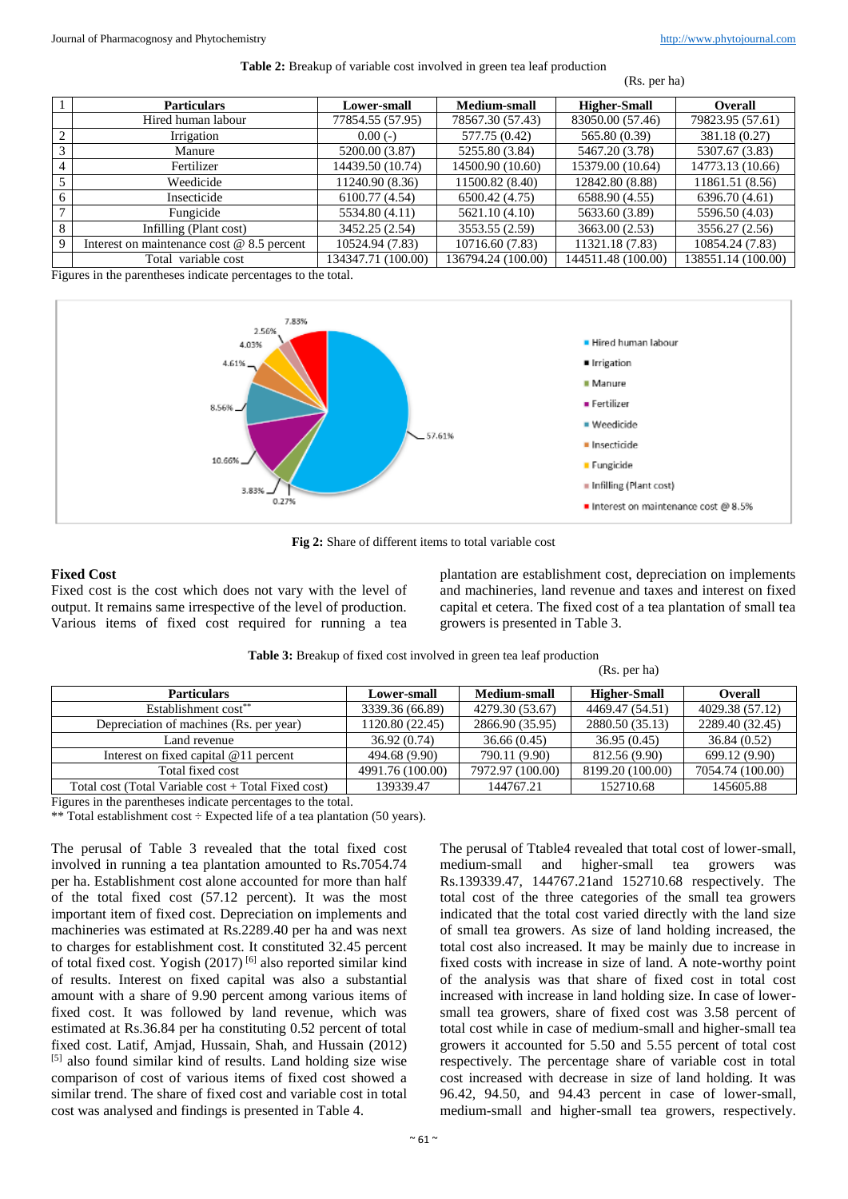#### **Table 2:** Breakup of variable cost involved in green tea leaf production

(Rs. per ha)

|                | <b>Particulars</b>                           | <b>Lower-small</b> | Medium-small       | <b>Higher-Small</b> | <b>Overall</b>     |
|----------------|----------------------------------------------|--------------------|--------------------|---------------------|--------------------|
|                | Hired human labour                           | 77854.55 (57.95)   | 78567.30 (57.43)   | 83050.00 (57.46)    | 79823.95 (57.61)   |
| 2              | Irrigation                                   | $0.00(-)$          | 577.75 (0.42)      | 565.80 (0.39)       | 381.18 (0.27)      |
| 3              | Manure                                       | 5200.00 (3.87)     | 5255.80 (3.84)     | 5467.20 (3.78)      | 5307.67 (3.83)     |
| $\overline{4}$ | Fertilizer                                   | 14439.50 (10.74)   | 14500.90 (10.60)   | 15379.00 (10.64)    | 14773.13 (10.66)   |
| 5              | Weedicide                                    | 11240.90 (8.36)    | 11500.82 (8.40)    | 12842.80 (8.88)     | 11861.51 (8.56)    |
| -6             | Insecticide                                  | 6100.77 (4.54)     | 6500.42 (4.75)     | 6588.90 (4.55)      | 6396.70 (4.61)     |
| $\mathbf{r}$   | Fungicide                                    | 5534.80 (4.11)     | 5621.10 (4.10)     | 5633.60 (3.89)      | 5596.50 (4.03)     |
| 8              | Infilling (Plant cost)                       | 3452.25 (2.54)     | 3553.55 (2.59)     | 3663.00 (2.53)      | 3556.27 (2.56)     |
| 9              | Interest on maintenance cost $@$ 8.5 percent | 10524.94 (7.83)    | 10716.60 (7.83)    | 11321.18 (7.83)     | 10854.24 (7.83)    |
|                | Total variable cost                          | 134347.71 (100.00) | 136794.24 (100.00) | 144511.48 (100.00)  | 138551.14 (100.00) |

Figures in the parentheses indicate percentages to the total.



**Fig 2:** Share of different items to total variable cost

## **Fixed Cost**

Fixed cost is the cost which does not vary with the level of output. It remains same irrespective of the level of production. Various items of fixed cost required for running a tea plantation are establishment cost, depreciation on implements and machineries, land revenue and taxes and interest on fixed capital et cetera. The fixed cost of a tea plantation of small tea growers is presented in Table 3.

(Rs. per ha)

| <b>Particulars</b>                                  | <b>Lower-small</b> | <b>Medium-small</b> | <b>Higher-Small</b> | <b>Overall</b>   |
|-----------------------------------------------------|--------------------|---------------------|---------------------|------------------|
| Establishment cost**                                | 3339.36 (66.89)    | 4279.30 (53.67)     | 4469.47 (54.51)     | 4029.38 (57.12)  |
| Depreciation of machines (Rs. per year)             | 1120.80 (22.45)    | 2866.90 (35.95)     | 2880.50 (35.13)     | 2289.40 (32.45)  |
| Land revenue                                        | 36.92(0.74)        | 36.66(0.45)         | 36.95(0.45)         | 36.84(0.52)      |
| Interest on fixed capital $@11$ percent             | 494.68 (9.90)      | 790.11 (9.90)       | 812.56 (9.90)       | 699.12 (9.90)    |
| Total fixed cost                                    | 4991.76 (100.00)   | 7972.97 (100.00)    | 8199.20 (100.00)    | 7054.74 (100.00) |
| Total cost (Total Variable cost + Total Fixed cost) | 139339.47          | 144767.21           | 152710.68           | 145605.88        |

**Table 3:** Breakup of fixed cost involved in green tea leaf production

Figures in the parentheses indicate percentages to the total.

\*\* Total establishment cost ÷ Expected life of a tea plantation (50 years).

The perusal of Table 3 revealed that the total fixed cost involved in running a tea plantation amounted to Rs.7054.74 per ha. Establishment cost alone accounted for more than half of the total fixed cost (57.12 percent). It was the most important item of fixed cost. Depreciation on implements and machineries was estimated at Rs.2289.40 per ha and was next to charges for establishment cost. It constituted 32.45 percent of total fixed cost. Yogish (2017)<sup>[6]</sup> also reported similar kind of results. Interest on fixed capital was also a substantial amount with a share of 9.90 percent among various items of fixed cost. It was followed by land revenue, which was estimated at Rs.36.84 per ha constituting 0.52 percent of total fixed cost. Latif, Amjad, Hussain, Shah, and Hussain (2012) [5] also found similar kind of results. Land holding size wise comparison of cost of various items of fixed cost showed a similar trend. The share of fixed cost and variable cost in total cost was analysed and findings is presented in Table 4.

The perusal of Ttable4 revealed that total cost of lower-small, medium-small and higher-small tea growers was Rs.139339.47, 144767.21and 152710.68 respectively. The total cost of the three categories of the small tea growers indicated that the total cost varied directly with the land size of small tea growers. As size of land holding increased, the total cost also increased. It may be mainly due to increase in fixed costs with increase in size of land. A note-worthy point of the analysis was that share of fixed cost in total cost increased with increase in land holding size. In case of lowersmall tea growers, share of fixed cost was 3.58 percent of total cost while in case of medium-small and higher-small tea growers it accounted for 5.50 and 5.55 percent of total cost respectively. The percentage share of variable cost in total cost increased with decrease in size of land holding. It was 96.42, 94.50, and 94.43 percent in case of lower-small, medium-small and higher-small tea growers, respectively.